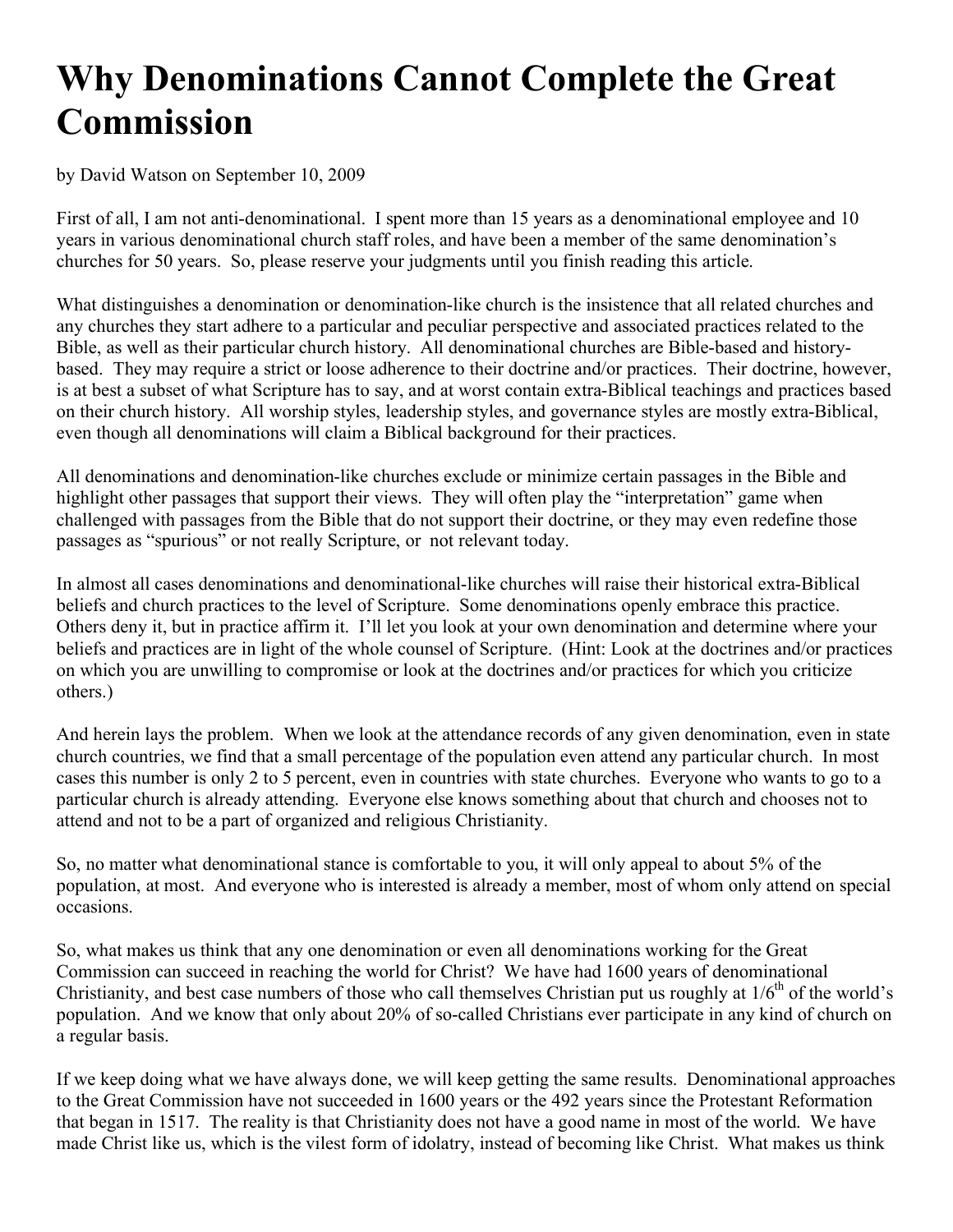## **Why Denominations Cannot Complete the Great Commission**

by David Watson on September 10, 2009

First of all, I am not anti-denominational. I spent more than 15 years as a denominational employee and 10 years in various denominational church staff roles, and have been a member of the same denomination's churches for 50 years. So, please reserve your judgments until you finish reading this article.

What distinguishes a denomination or denomination-like church is the insistence that all related churches and any churches they start adhere to a particular and peculiar perspective and associated practices related to the Bible, as well as their particular church history. All denominational churches are Bible-based and historybased. They may require a strict or loose adherence to their doctrine and/or practices. Their doctrine, however, is at best a subset of what Scripture has to say, and at worst contain extra-Biblical teachings and practices based on their church history. All worship styles, leadership styles, and governance styles are mostly extra-Biblical, even though all denominations will claim a Biblical background for their practices.

All denominations and denomination-like churches exclude or minimize certain passages in the Bible and highlight other passages that support their views. They will often play the "interpretation" game when challenged with passages from the Bible that do not support their doctrine, or they may even redefine those passages as "spurious" or not really Scripture, or not relevant today.

In almost all cases denominations and denominational-like churches will raise their historical extra-Biblical beliefs and church practices to the level of Scripture. Some denominations openly embrace this practice. Others deny it, but in practice affirm it. I'll let you look at your own denomination and determine where your beliefs and practices are in light of the whole counsel of Scripture. (Hint: Look at the doctrines and/or practices on which you are unwilling to compromise or look at the doctrines and/or practices for which you criticize others.)

And herein lays the problem. When we look at the attendance records of any given denomination, even in state church countries, we find that a small percentage of the population even attend any particular church. In most cases this number is only 2 to 5 percent, even in countries with state churches. Everyone who wants to go to a particular church is already attending. Everyone else knows something about that church and chooses not to attend and not to be a part of organized and religious Christianity.

So, no matter what denominational stance is comfortable to you, it will only appeal to about 5% of the population, at most. And everyone who is interested is already a member, most of whom only attend on special occasions.

So, what makes us think that any one denomination or even all denominations working for the Great Commission can succeed in reaching the world for Christ? We have had 1600 years of denominational Christianity, and best case numbers of those who call themselves Christian put us roughly at  $1/6<sup>th</sup>$  of the world's population. And we know that only about 20% of so-called Christians ever participate in any kind of church on a regular basis.

If we keep doing what we have always done, we will keep getting the same results. Denominational approaches to the Great Commission have not succeeded in 1600 years or the 492 years since the Protestant Reformation that began in 1517. The reality is that Christianity does not have a good name in most of the world. We have made Christ like us, which is the vilest form of idolatry, instead of becoming like Christ. What makes us think